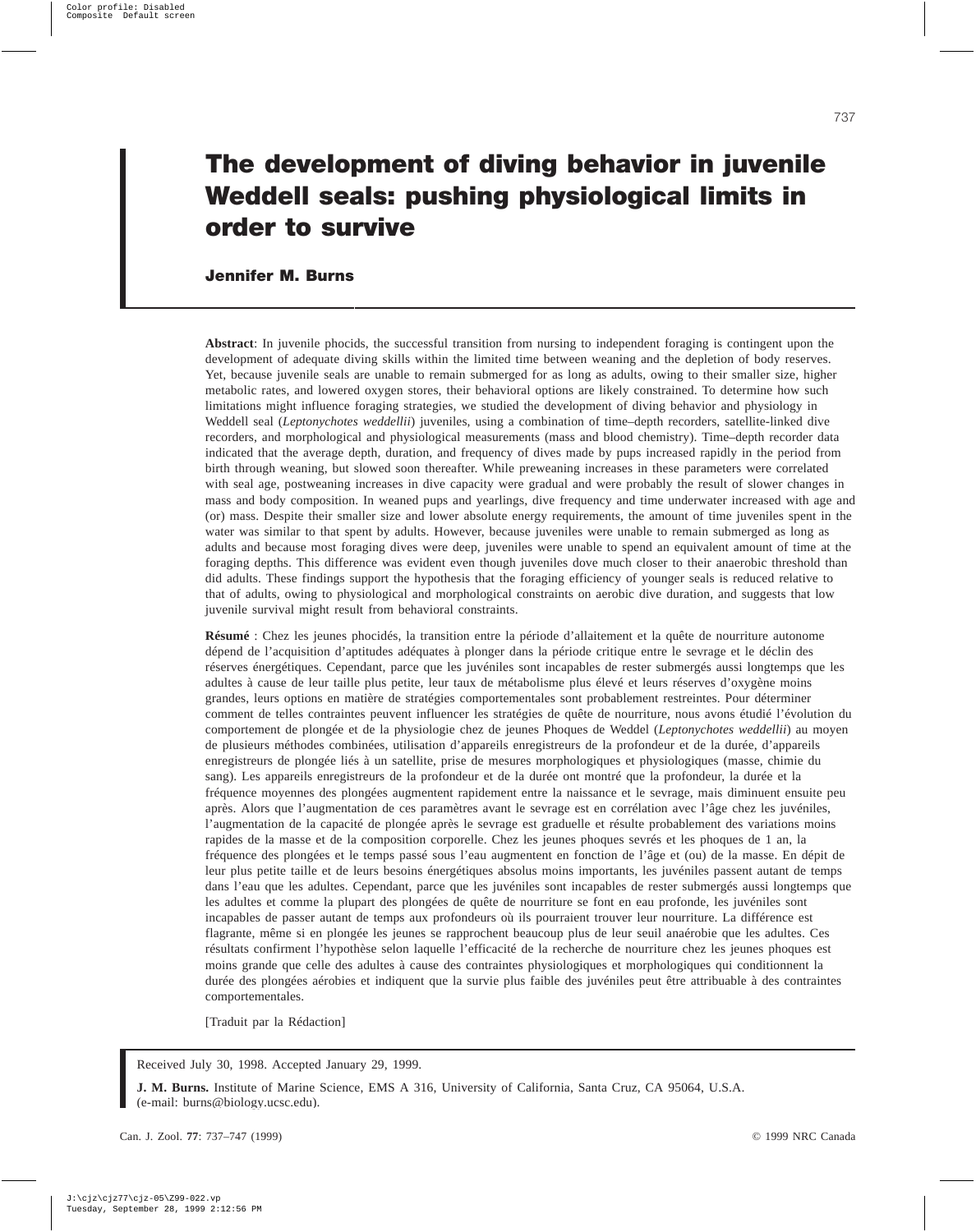# **The development of diving behavior in juvenile Weddell seals: pushing physiological limits in order to survive**

# **Jennifer M. Burns**

**Abstract**: In juvenile phocids, the successful transition from nursing to independent foraging is contingent upon the development of adequate diving skills within the limited time between weaning and the depletion of body reserves. Yet, because juvenile seals are unable to remain submerged for as long as adults, owing to their smaller size, higher metabolic rates, and lowered oxygen stores, their behavioral options are likely constrained. To determine how such limitations might influence foraging strategies, we studied the development of diving behavior and physiology in Weddell seal (*Leptonychotes weddellii*) juveniles, using a combination of time–depth recorders, satellite-linked dive recorders, and morphological and physiological measurements (mass and blood chemistry). Time–depth recorder data indicated that the average depth, duration, and frequency of dives made by pups increased rapidly in the period from birth through weaning, but slowed soon thereafter. While preweaning increases in these parameters were correlated with seal age, postweaning increases in dive capacity were gradual and were probably the result of slower changes in mass and body composition. In weaned pups and yearlings, dive frequency and time underwater increased with age and (or) mass. Despite their smaller size and lower absolute energy requirements, the amount of time juveniles spent in the water was similar to that spent by adults. However, because juveniles were unable to remain submerged as long as adults and because most foraging dives were deep, juveniles were unable to spend an equivalent amount of time at the foraging depths. This difference was evident even though juveniles dove much closer to their anaerobic threshold than did adults. These findings support the hypothesis that the foraging efficiency of younger seals is reduced relative to that of adults, owing to physiological and morphological constraints on aerobic dive duration, and suggests that low juvenile survival might result from behavioral constraints.

**Résumé** : Chez les jeunes phocidés, la transition entre la période d'allaitement et la quête de nourriture autonome dépend de l'acquisition d'aptitudes adéquates à plonger dans la période critique entre le sevrage et le déclin des réserves énergétiques. Cependant, parce que les juvéniles sont incapables de rester submergés aussi longtemps que les adultes à cause de leur taille plus petite, leur taux de métabolisme plus élevé et leurs réserves d'oxygène moins grandes, leurs options en matière de stratégies comportementales sont probablement restreintes. Pour déterminer comment de telles contraintes peuvent influencer les stratégies de quête de nourriture, nous avons étudié l'évolution du comportement de plongée et de la physiologie chez de jeunes Phoques de Weddel (*Leptonychotes weddellii*) au moyen de plusieurs méthodes combinées, utilisation d'appareils enregistreurs de la profondeur et de la durée, d'appareils enregistreurs de plongée liés à un satellite, prise de mesures morphologiques et physiologiques (masse, chimie du sang). Les appareils enregistreurs de la profondeur et de la durée ont montré que la profondeur, la durée et la fréquence moyennes des plongées augmentent rapidement entre la naissance et le sevrage, mais diminuent ensuite peu après. Alors que l'augmentation de ces paramètres avant le sevrage est en corrélation avec l'âge chez les juvéniles, l'augmentation de la capacité de plongée après le sevrage est graduelle et résulte probablement des variations moins rapides de la masse et de la composition corporelle. Chez les jeunes phoques sevrés et les phoques de 1 an, la fréquence des plongées et le temps passé sous l'eau augmentent en fonction de l'âge et (ou) de la masse. En dépit de leur plus petite taille et de leurs besoins énergétiques absolus moins importants, les juvéniles passent autant de temps dans l'eau que les adultes. Cependant, parce que les juvéniles sont incapables de rester submergés aussi longtemps que les adultes et comme la plupart des plongées de quête de nourriture se font en eau profonde, les juvéniles sont incapables de passer autant de temps aux profondeurs où ils pourraient trouver leur nourriture. La différence est flagrante, même si en plongée les jeunes se rapprochent beaucoup plus de leur seuil anaérobie que les adultes. Ces résultats confirment l'hypothèse selon laquelle l'efficacité de la recherche de nourriture chez les jeunes phoques est moins grande que celle des adultes à cause des contraintes physiologiques et morphologiques qui conditionnent la durée des plongées aérobies et indiquent que la survie plus faible des juvéniles peut être attribuable à des contraintes comportementales.

[Traduit par la Rédaction]

Received July 30, 1998. Accepted January 29, 1999.

**J. M. Burns.** Institute of Marine Science, EMS A 316, University of California, Santa Cruz, CA 95064, U.S.A. (e-mail: burns@biology.ucsc.edu).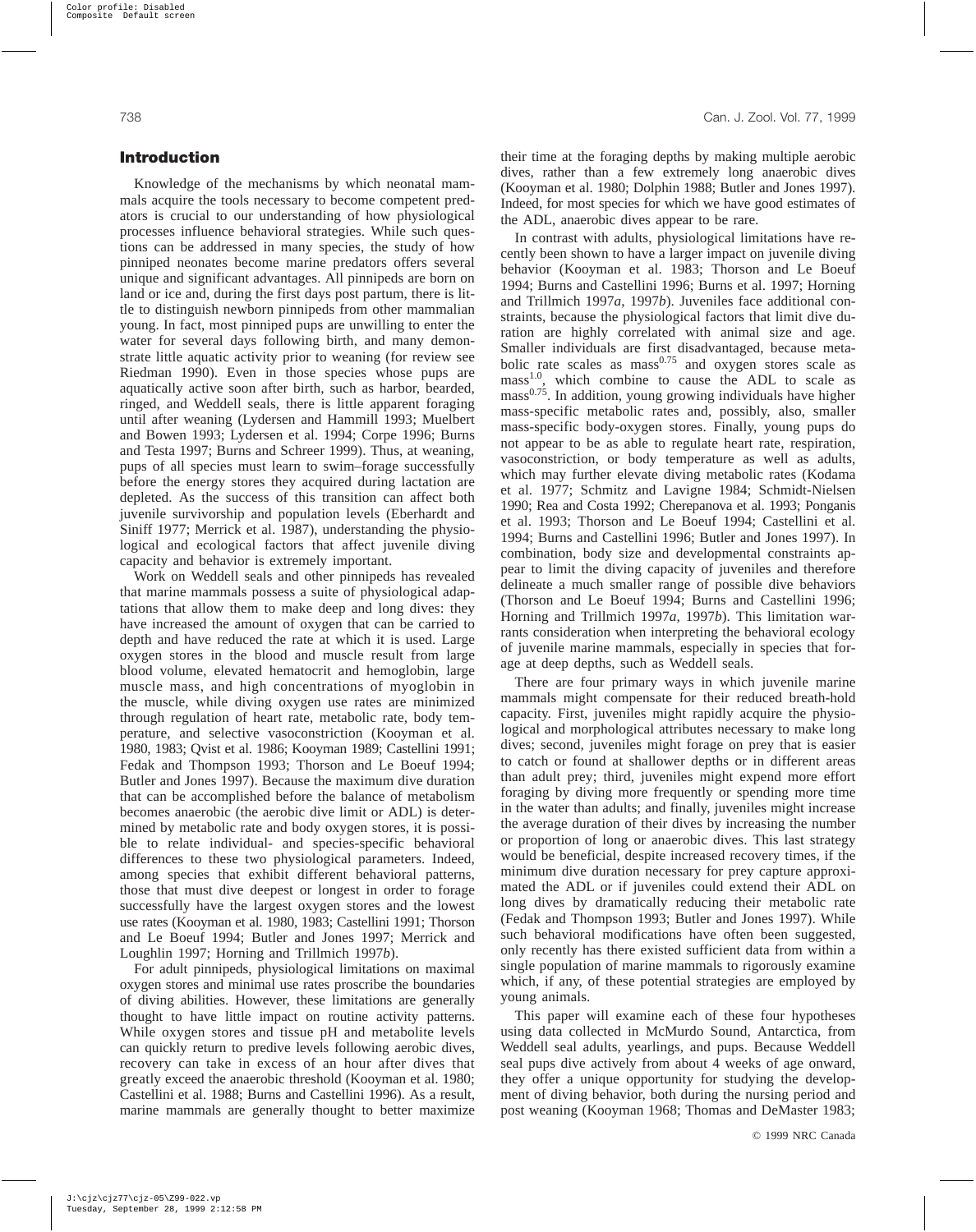# **Introduction**

Knowledge of the mechanisms by which neonatal mammals acquire the tools necessary to become competent predators is crucial to our understanding of how physiological processes influence behavioral strategies. While such questions can be addressed in many species, the study of how pinniped neonates become marine predators offers several unique and significant advantages. All pinnipeds are born on land or ice and, during the first days post partum, there is little to distinguish newborn pinnipeds from other mammalian young. In fact, most pinniped pups are unwilling to enter the water for several days following birth, and many demonstrate little aquatic activity prior to weaning (for review see Riedman 1990). Even in those species whose pups are aquatically active soon after birth, such as harbor, bearded, ringed, and Weddell seals, there is little apparent foraging until after weaning (Lydersen and Hammill 1993; Muelbert and Bowen 1993; Lydersen et al. 1994; Corpe 1996; Burns and Testa 1997; Burns and Schreer 1999). Thus, at weaning, pups of all species must learn to swim–forage successfully before the energy stores they acquired during lactation are depleted. As the success of this transition can affect both juvenile survivorship and population levels (Eberhardt and Siniff 1977; Merrick et al. 1987), understanding the physiological and ecological factors that affect juvenile diving capacity and behavior is extremely important.

Work on Weddell seals and other pinnipeds has revealed that marine mammals possess a suite of physiological adaptations that allow them to make deep and long dives: they have increased the amount of oxygen that can be carried to depth and have reduced the rate at which it is used. Large oxygen stores in the blood and muscle result from large blood volume, elevated hematocrit and hemoglobin, large muscle mass, and high concentrations of myoglobin in the muscle, while diving oxygen use rates are minimized through regulation of heart rate, metabolic rate, body temperature, and selective vasoconstriction (Kooyman et al. 1980, 1983; Qvist et al. 1986; Kooyman 1989; Castellini 1991; Fedak and Thompson 1993; Thorson and Le Boeuf 1994; Butler and Jones 1997). Because the maximum dive duration that can be accomplished before the balance of metabolism becomes anaerobic (the aerobic dive limit or ADL) is determined by metabolic rate and body oxygen stores, it is possible to relate individual- and species-specific behavioral differences to these two physiological parameters. Indeed, among species that exhibit different behavioral patterns, those that must dive deepest or longest in order to forage successfully have the largest oxygen stores and the lowest use rates (Kooyman et al. 1980, 1983; Castellini 1991; Thorson and Le Boeuf 1994; Butler and Jones 1997; Merrick and Loughlin 1997; Horning and Trillmich 1997*b*).

For adult pinnipeds, physiological limitations on maximal oxygen stores and minimal use rates proscribe the boundaries of diving abilities. However, these limitations are generally thought to have little impact on routine activity patterns. While oxygen stores and tissue pH and metabolite levels can quickly return to predive levels following aerobic dives, recovery can take in excess of an hour after dives that greatly exceed the anaerobic threshold (Kooyman et al. 1980; Castellini et al. 1988; Burns and Castellini 1996). As a result, marine mammals are generally thought to better maximize their time at the foraging depths by making multiple aerobic dives, rather than a few extremely long anaerobic dives (Kooyman et al. 1980; Dolphin 1988; Butler and Jones 1997). Indeed, for most species for which we have good estimates of the ADL, anaerobic dives appear to be rare.

In contrast with adults, physiological limitations have recently been shown to have a larger impact on juvenile diving behavior (Kooyman et al. 1983; Thorson and Le Boeuf 1994; Burns and Castellini 1996; Burns et al. 1997; Horning and Trillmich 1997*a*, 1997*b*). Juveniles face additional constraints, because the physiological factors that limit dive duration are highly correlated with animal size and age. Smaller individuals are first disadvantaged, because metabolic rate scales as  $mass^{0.75}$  and oxygen stores scale as mass<sup>1.0</sup>, which combine to cause the ADL to scale as mass<sup>0.75</sup>. In addition, young growing individuals have higher mass-specific metabolic rates and, possibly, also, smaller mass-specific body-oxygen stores. Finally, young pups do not appear to be as able to regulate heart rate, respiration, vasoconstriction, or body temperature as well as adults, which may further elevate diving metabolic rates (Kodama et al. 1977; Schmitz and Lavigne 1984; Schmidt-Nielsen 1990; Rea and Costa 1992; Cherepanova et al. 1993; Ponganis et al. 1993; Thorson and Le Boeuf 1994; Castellini et al. 1994; Burns and Castellini 1996; Butler and Jones 1997). In combination, body size and developmental constraints appear to limit the diving capacity of juveniles and therefore delineate a much smaller range of possible dive behaviors (Thorson and Le Boeuf 1994; Burns and Castellini 1996; Horning and Trillmich 1997*a*, 1997*b*). This limitation warrants consideration when interpreting the behavioral ecology of juvenile marine mammals, especially in species that forage at deep depths, such as Weddell seals.

There are four primary ways in which juvenile marine mammals might compensate for their reduced breath-hold capacity. First, juveniles might rapidly acquire the physiological and morphological attributes necessary to make long dives; second, juveniles might forage on prey that is easier to catch or found at shallower depths or in different areas than adult prey; third, juveniles might expend more effort foraging by diving more frequently or spending more time in the water than adults; and finally, juveniles might increase the average duration of their dives by increasing the number or proportion of long or anaerobic dives. This last strategy would be beneficial, despite increased recovery times, if the minimum dive duration necessary for prey capture approximated the ADL or if juveniles could extend their ADL on long dives by dramatically reducing their metabolic rate (Fedak and Thompson 1993; Butler and Jones 1997). While such behavioral modifications have often been suggested, only recently has there existed sufficient data from within a single population of marine mammals to rigorously examine which, if any, of these potential strategies are employed by young animals.

This paper will examine each of these four hypotheses using data collected in McMurdo Sound, Antarctica, from Weddell seal adults, yearlings, and pups. Because Weddell seal pups dive actively from about 4 weeks of age onward, they offer a unique opportunity for studying the development of diving behavior, both during the nursing period and post weaning (Kooyman 1968; Thomas and DeMaster 1983;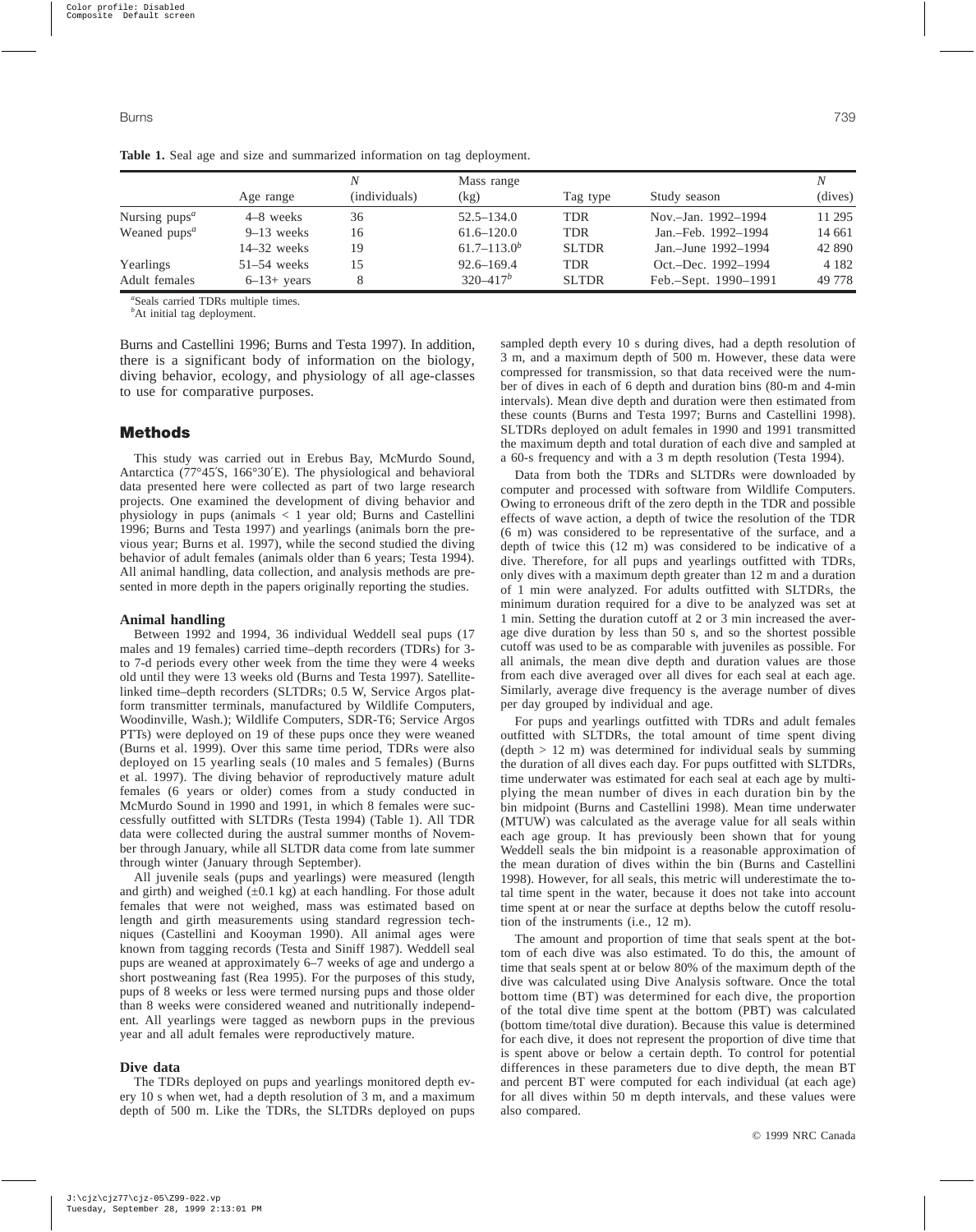|                                       |               |               | Mass range       |              |                      |         |  |
|---------------------------------------|---------------|---------------|------------------|--------------|----------------------|---------|--|
|                                       | Age range     | (individuals) | (kg)             | Tag type     | Study season         | (dives) |  |
| Nursing $pups^a$                      | 4–8 weeks     | 36            | $52.5 - 134.0$   | <b>TDR</b>   | Nov.-Jan. 1992-1994  | 11 295  |  |
| Weaned pups <sup><math>a</math></sup> | $9-13$ weeks  | 16            | $61.6 - 120.0$   | <b>TDR</b>   | Jan.-Feb. 1992-1994  | 14 661  |  |
|                                       | $14-32$ weeks | 19            | $61.7 - 113.0^b$ | <b>SLTDR</b> | Jan.-June 1992-1994  | 42 890  |  |
| Yearlings                             | $51-54$ weeks | 15            | $92.6 - 169.4$   | TDR          | Oct.-Dec. 1992-1994  | 4 1 8 2 |  |
| Adult females                         | $6-13+$ years | 8             | $320 - 417^b$    | <b>SLTDR</b> | Feb.-Sept. 1990-1991 | 49 778  |  |

**Table 1.** Seal age and size and summarized information on tag deployment.

*a* Seals carried TDRs multiple times.

to use for comparative purposes.

<sup>*b*</sup>At initial tag deployment.

Burns and Castellini 1996; Burns and Testa 1997). In addition, there is a significant body of information on the biology, diving behavior, ecology, and physiology of all age-classes

# **Methods**

This study was carried out in Erebus Bay, McMurdo Sound, Antarctica (77°45′S, 166°30′E). The physiological and behavioral data presented here were collected as part of two large research projects. One examined the development of diving behavior and physiology in pups (animals < 1 year old; Burns and Castellini 1996; Burns and Testa 1997) and yearlings (animals born the previous year; Burns et al. 1997), while the second studied the diving behavior of adult females (animals older than 6 years; Testa 1994). All animal handling, data collection, and analysis methods are presented in more depth in the papers originally reporting the studies.

#### **Animal handling**

Between 1992 and 1994, 36 individual Weddell seal pups (17 males and 19 females) carried time–depth recorders (TDRs) for 3 to 7-d periods every other week from the time they were 4 weeks old until they were 13 weeks old (Burns and Testa 1997). Satellitelinked time–depth recorders (SLTDRs; 0.5 W, Service Argos platform transmitter terminals, manufactured by Wildlife Computers, Woodinville, Wash.); Wildlife Computers, SDR-T6; Service Argos PTTs) were deployed on 19 of these pups once they were weaned (Burns et al. 1999). Over this same time period, TDRs were also deployed on 15 yearling seals (10 males and 5 females) (Burns et al. 1997). The diving behavior of reproductively mature adult females (6 years or older) comes from a study conducted in McMurdo Sound in 1990 and 1991, in which 8 females were successfully outfitted with SLTDRs (Testa 1994) (Table 1). All TDR data were collected during the austral summer months of November through January, while all SLTDR data come from late summer through winter (January through September).

All juvenile seals (pups and yearlings) were measured (length and girth) and weighed  $(\pm 0.1 \text{ kg})$  at each handling. For those adult females that were not weighed, mass was estimated based on length and girth measurements using standard regression techniques (Castellini and Kooyman 1990). All animal ages were known from tagging records (Testa and Siniff 1987). Weddell seal pups are weaned at approximately 6–7 weeks of age and undergo a short postweaning fast (Rea 1995). For the purposes of this study, pups of 8 weeks or less were termed nursing pups and those older than 8 weeks were considered weaned and nutritionally independent. All yearlings were tagged as newborn pups in the previous year and all adult females were reproductively mature.

#### **Dive data**

The TDRs deployed on pups and yearlings monitored depth every 10 s when wet, had a depth resolution of 3 m, and a maximum depth of 500 m. Like the TDRs, the SLTDRs deployed on pups sampled depth every 10 s during dives, had a depth resolution of 3 m, and a maximum depth of 500 m. However, these data were compressed for transmission, so that data received were the number of dives in each of 6 depth and duration bins (80-m and 4-min intervals). Mean dive depth and duration were then estimated from these counts (Burns and Testa 1997; Burns and Castellini 1998). SLTDRs deployed on adult females in 1990 and 1991 transmitted the maximum depth and total duration of each dive and sampled at a 60-s frequency and with a 3 m depth resolution (Testa 1994).

Data from both the TDRs and SLTDRs were downloaded by computer and processed with software from Wildlife Computers. Owing to erroneous drift of the zero depth in the TDR and possible effects of wave action, a depth of twice the resolution of the TDR (6 m) was considered to be representative of the surface, and a depth of twice this (12 m) was considered to be indicative of a dive. Therefore, for all pups and yearlings outfitted with TDRs, only dives with a maximum depth greater than 12 m and a duration of 1 min were analyzed. For adults outfitted with SLTDRs, the minimum duration required for a dive to be analyzed was set at 1 min. Setting the duration cutoff at 2 or 3 min increased the average dive duration by less than 50 s, and so the shortest possible cutoff was used to be as comparable with juveniles as possible. For all animals, the mean dive depth and duration values are those from each dive averaged over all dives for each seal at each age. Similarly, average dive frequency is the average number of dives per day grouped by individual and age.

For pups and yearlings outfitted with TDRs and adult females outfitted with SLTDRs, the total amount of time spent diving  $(\text{depth} > 12 \text{ m})$  was determined for individual seals by summing the duration of all dives each day. For pups outfitted with SLTDRs, time underwater was estimated for each seal at each age by multiplying the mean number of dives in each duration bin by the bin midpoint (Burns and Castellini 1998). Mean time underwater (MTUW) was calculated as the average value for all seals within each age group. It has previously been shown that for young Weddell seals the bin midpoint is a reasonable approximation of the mean duration of dives within the bin (Burns and Castellini 1998). However, for all seals, this metric will underestimate the total time spent in the water, because it does not take into account time spent at or near the surface at depths below the cutoff resolution of the instruments (i.e., 12 m).

The amount and proportion of time that seals spent at the bottom of each dive was also estimated. To do this, the amount of time that seals spent at or below 80% of the maximum depth of the dive was calculated using Dive Analysis software. Once the total bottom time (BT) was determined for each dive, the proportion of the total dive time spent at the bottom (PBT) was calculated (bottom time/total dive duration). Because this value is determined for each dive, it does not represent the proportion of dive time that is spent above or below a certain depth. To control for potential differences in these parameters due to dive depth, the mean BT and percent BT were computed for each individual (at each age) for all dives within 50 m depth intervals, and these values were also compared.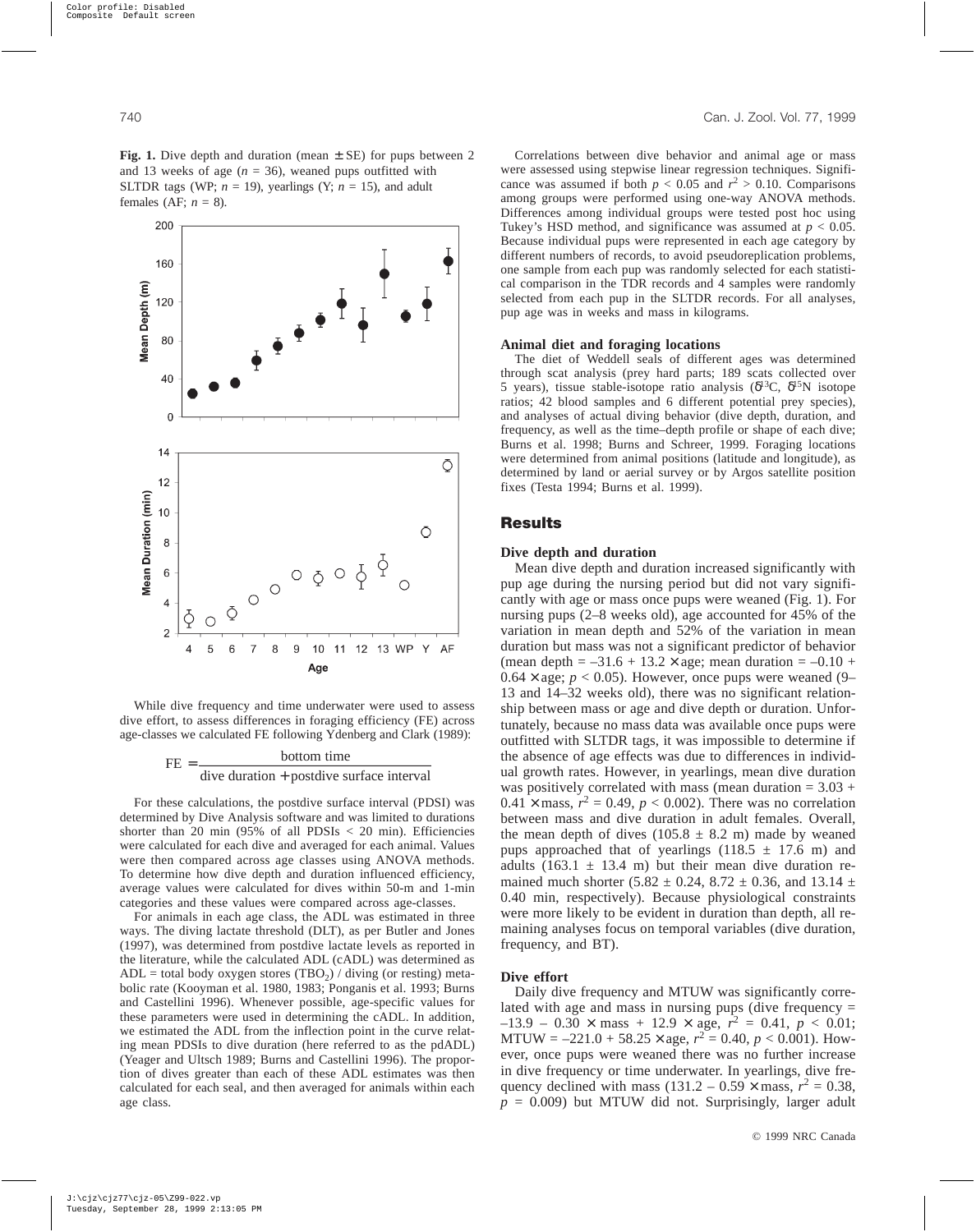**Fig. 1.** Dive depth and duration (mean  $\pm$  SE) for pups between 2 and 13 weeks of age  $(n = 36)$ , weaned pups outfitted with SLTDR tags (WP;  $n = 19$ ), yearlings (Y;  $n = 15$ ), and adult females (AF;  $n = 8$ ).

While dive frequency and time underwater were used to assess dive effort, to assess differences in foraging efficiency (FE) across age-classes we calculated FE following Ydenberg and Clark (1989):



For these calculations, the postdive surface interval (PDSI) was determined by Dive Analysis software and was limited to durations shorter than 20 min  $(95\% \text{ of all PDSIs} < 20 \text{ min})$ . Efficiencies were calculated for each dive and averaged for each animal. Values were then compared across age classes using ANOVA methods. To determine how dive depth and duration influenced efficiency, average values were calculated for dives within 50-m and 1-min categories and these values were compared across age-classes.

For animals in each age class, the ADL was estimated in three ways. The diving lactate threshold (DLT), as per Butler and Jones (1997), was determined from postdive lactate levels as reported in the literature, while the calculated ADL (cADL) was determined as ADL = total body oxygen stores (TBO<sub>2</sub>) / diving (or resting) metabolic rate (Kooyman et al. 1980, 1983; Ponganis et al. 1993; Burns and Castellini 1996). Whenever possible, age-specific values for these parameters were used in determining the cADL. In addition, we estimated the ADL from the inflection point in the curve relating mean PDSIs to dive duration (here referred to as the pdADL) (Yeager and Ultsch 1989; Burns and Castellini 1996). The proportion of dives greater than each of these ADL estimates was then calculated for each seal, and then averaged for animals within each age class.

Correlations between dive behavior and animal age or mass were assessed using stepwise linear regression techniques. Significance was assumed if both  $p < 0.05$  and  $r^2 > 0.10$ . Comparisons among groups were performed using one-way ANOVA methods. Differences among individual groups were tested post hoc using Tukey's HSD method, and significance was assumed at *p* < 0.05. Because individual pups were represented in each age category by different numbers of records, to avoid pseudoreplication problems, one sample from each pup was randomly selected for each statistical comparison in the TDR records and 4 samples were randomly selected from each pup in the SLTDR records. For all analyses, pup age was in weeks and mass in kilograms.

#### **Animal diet and foraging locations**

The diet of Weddell seals of different ages was determined through scat analysis (prey hard parts; 189 scats collected over 5 years), tissue stable-isotope ratio analysis ( $δ<sup>13</sup>C$ ,  $δ<sup>15</sup>N$  isotope ratios; 42 blood samples and 6 different potential prey species), and analyses of actual diving behavior (dive depth, duration, and frequency, as well as the time–depth profile or shape of each dive; Burns et al. 1998; Burns and Schreer, 1999. Foraging locations were determined from animal positions (latitude and longitude), as determined by land or aerial survey or by Argos satellite position fixes (Testa 1994; Burns et al. 1999).

# **Results**

## **Dive depth and duration**

Mean dive depth and duration increased significantly with pup age during the nursing period but did not vary significantly with age or mass once pups were weaned (Fig. 1). For nursing pups (2–8 weeks old), age accounted for 45% of the variation in mean depth and 52% of the variation in mean duration but mass was not a significant predictor of behavior (mean depth =  $-31.6 + 13.2 \times$  age; mean duration =  $-0.10 +$  $0.64 \times$  age;  $p < 0.05$ ). However, once pups were weaned (9– 13 and 14–32 weeks old), there was no significant relationship between mass or age and dive depth or duration. Unfortunately, because no mass data was available once pups were outfitted with SLTDR tags, it was impossible to determine if the absence of age effects was due to differences in individual growth rates. However, in yearlings, mean dive duration was positively correlated with mass (mean duration  $= 3.03 +$  $0.41 \times \text{mass}, r^2 = 0.49, p < 0.002$ ). There was no correlation between mass and dive duration in adult females. Overall, the mean depth of dives  $(105.8 \pm 8.2 \text{ m})$  made by weaned pups approached that of yearlings (118.5  $\pm$  17.6 m) and adults (163.1  $\pm$  13.4 m) but their mean dive duration remained much shorter (5.82  $\pm$  0.24, 8.72  $\pm$  0.36, and 13.14  $\pm$ 0.40 min, respectively). Because physiological constraints were more likely to be evident in duration than depth, all remaining analyses focus on temporal variables (dive duration, frequency, and BT).

#### **Dive effort**

Daily dive frequency and MTUW was significantly correlated with age and mass in nursing pups (dive frequency =  $-13.9 - 0.30 \times \text{mass} + 12.9 \times \text{age}, r^2 = 0.41, p < 0.01;$ MTUW =  $-221.0 + 58.25 \times \text{age}, r^2 = 0.40, p < 0.001$ ). However, once pups were weaned there was no further increase in dive frequency or time underwater. In yearlings, dive frequency declined with mass  $(131.2 - 0.59 \times \text{mass}, r^2 = 0.38,$  $p = 0.009$ ) but MTUW did not. Surprisingly, larger adult

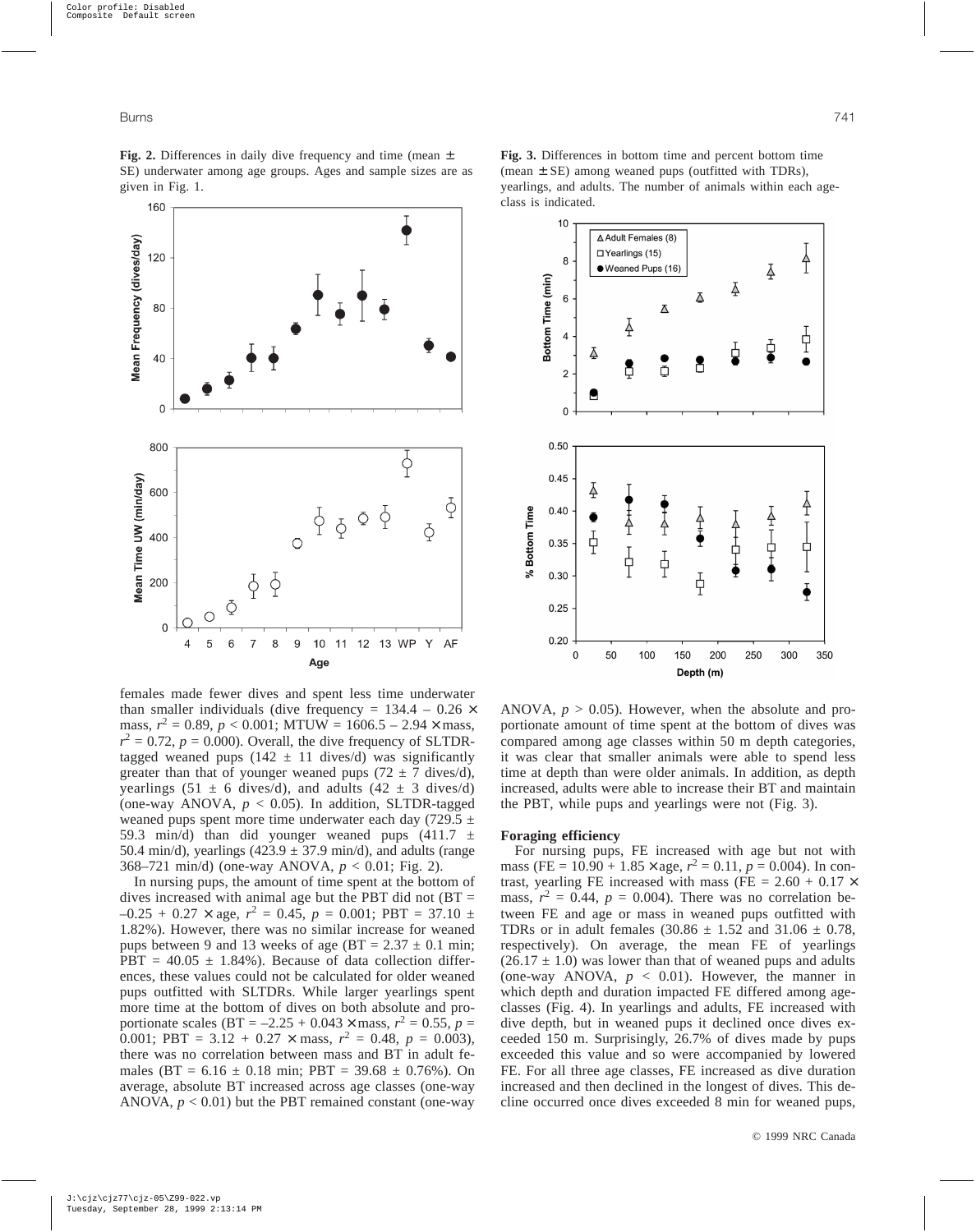**Fig. 2.** Differences in daily dive frequency and time (mean ± SE) underwater among age groups. Ages and sample sizes are as given in Fig. 1.



**Fig. 3.** Differences in bottom time and percent bottom time (mean  $\pm$  SE) among weaned pups (outfitted with TDRs), yearlings, and adults. The number of animals within each ageclass is indicated.



females made fewer dives and spent less time underwater than smaller individuals (dive frequency =  $134.4 - 0.26 \times$ mass,  $r^2 = 0.89$ ,  $p < 0.001$ ; MTUW = 1606.5 – 2.94  $\times$  mass,  $r^2 = 0.72$ ,  $p = 0.000$ ). Overall, the dive frequency of SLTDRtagged weaned pups (142  $\pm$  11 dives/d) was significantly greater than that of younger weaned pups  $(72 \pm 7 \text{ dives/d})$ , yearlings (51  $\pm$  6 dives/d), and adults (42  $\pm$  3 dives/d) (one-way ANOVA,  $p < 0.05$ ). In addition, SLTDR-tagged weaned pups spent more time underwater each day (729.5  $\pm$ 59.3 min/d) than did younger weaned pups  $(411.7 \pm 10^{-12})$ 50.4 min/d), yearlings  $(423.9 \pm 37.9 \text{ min/d})$ , and adults (range 368–721 min/d) (one-way ANOVA, *p* < 0.01; Fig. 2).

In nursing pups, the amount of time spent at the bottom of dives increased with animal age but the PBT did not  $(BT =$  $-0.25 + 0.27 \times$  age,  $r^2 = 0.45$ ,  $p = 0.001$ ; PBT = 37.10  $\pm$ 1.82%). However, there was no similar increase for weaned pups between 9 and 13 weeks of age (BT =  $2.37 \pm 0.1$  min;  $PBT = 40.05 \pm 1.84\%$ . Because of data collection differences, these values could not be calculated for older weaned pups outfitted with SLTDRs. While larger yearlings spent more time at the bottom of dives on both absolute and proportionate scales (BT =  $-2.25 + 0.043 \times \text{mass}, r^2 = 0.55, p =$ 0.001; PBT =  $3.12 + 0.27 \times \text{mass}, r^2 = 0.48, p = 0.003$ ), there was no correlation between mass and BT in adult females (BT =  $6.16 \pm 0.18$  min; PBT = 39.68  $\pm$  0.76%). On average, absolute BT increased across age classes (one-way ANOVA,  $p < 0.01$ ) but the PBT remained constant (one-way

ANOVA,  $p > 0.05$ ). However, when the absolute and proportionate amount of time spent at the bottom of dives was compared among age classes within 50 m depth categories, it was clear that smaller animals were able to spend less time at depth than were older animals. In addition, as depth increased, adults were able to increase their BT and maintain the PBT, while pups and yearlings were not (Fig. 3).

## **Foraging efficiency**

For nursing pups, FE increased with age but not with mass (FE = 10.90 + 1.85  $\times$  age,  $r^2 = 0.11$ ,  $p = 0.004$ ). In contrast, yearling FE increased with mass (FE =  $2.60 + 0.17 \times$ mass,  $r^2 = 0.44$ ,  $p = 0.004$ ). There was no correlation between FE and age or mass in weaned pups outfitted with TDRs or in adult females (30.86  $\pm$  1.52 and 31.06  $\pm$  0.78, respectively). On average, the mean FE of yearlings  $(26.17 \pm 1.0)$  was lower than that of weaned pups and adults (one-way ANOVA,  $p < 0.01$ ). However, the manner in which depth and duration impacted FE differed among ageclasses (Fig. 4). In yearlings and adults, FE increased with dive depth, but in weaned pups it declined once dives exceeded 150 m. Surprisingly, 26.7% of dives made by pups exceeded this value and so were accompanied by lowered FE. For all three age classes, FE increased as dive duration increased and then declined in the longest of dives. This decline occurred once dives exceeded 8 min for weaned pups,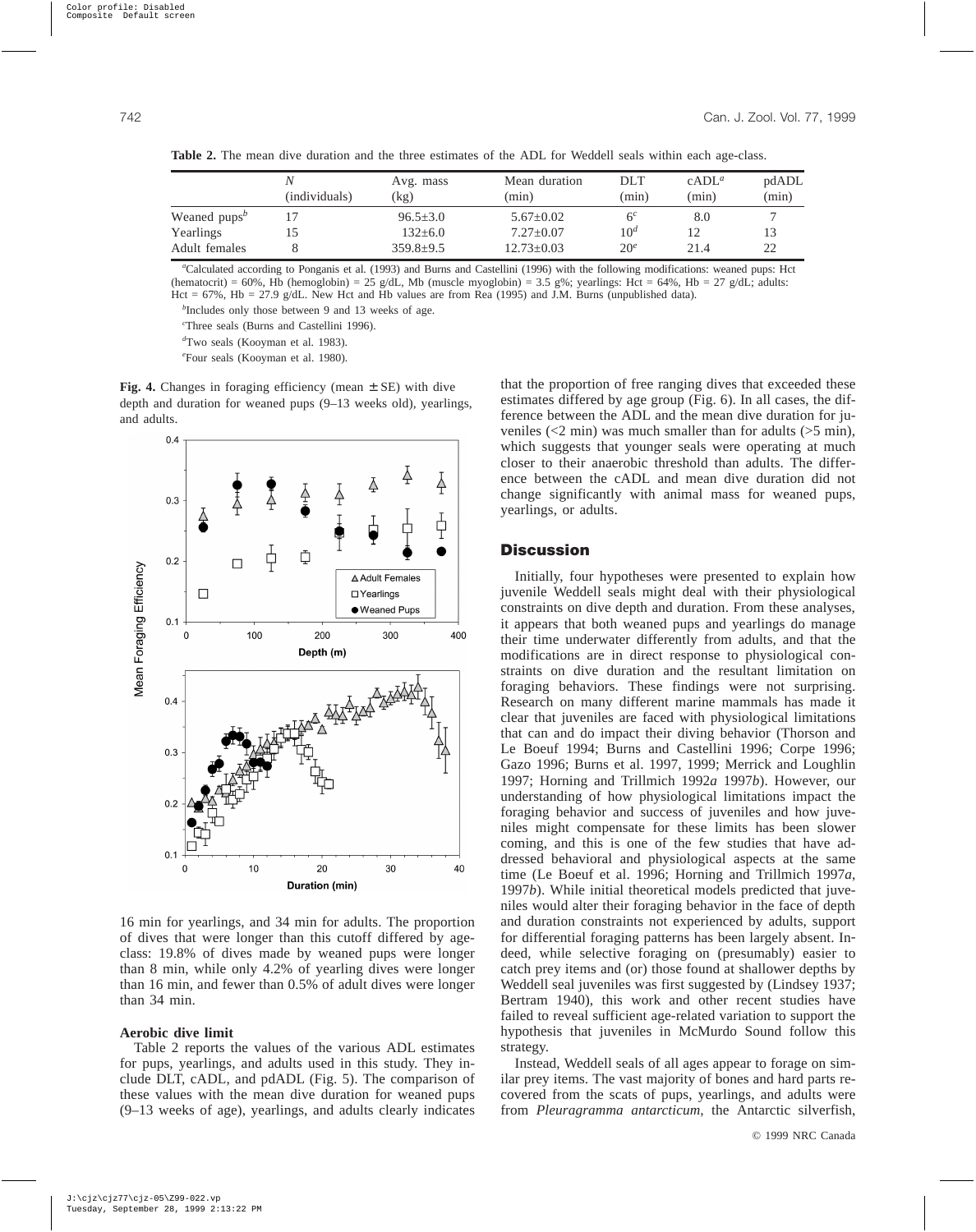|                 | (individuals) | Avg. mass<br>$\left(\text{kg}\right)$ | Mean duration<br>(min) | DLT<br>(min)    | $cADL^a$<br>(min) | pdADL<br>(min) |
|-----------------|---------------|---------------------------------------|------------------------|-----------------|-------------------|----------------|
| Weaned $pups^b$ |               | $96.5 + 3.0$                          | $5.67 \pm 0.02$        | 6 <sup>c</sup>  | 8.0               |                |
| Yearlings       | 15            | $132 \pm 6.0$                         | $7.27+0.07$            | 10 <sup>d</sup> | 12                | 13             |
| Adult females   |               | $359.8+9.5$                           | $12.73 \pm 0.03$       | 20 <sup>e</sup> | 21.4              | 22             |

**Table 2.** The mean dive duration and the three estimates of the ADL for Weddell seals within each age-class.

*a* Calculated according to Ponganis et al. (1993) and Burns and Castellini (1996) with the following modifications: weaned pups: Hct (hematocrit) = 60%, Hb (hemoglobin) = 25 g/dL, Mb (muscle myoglobin) = 3.5 g%; yearlings: Hct = 64%, Hb = 27 g/dL; adults: Hct = 67%, Hb = 27.9 g/dL. New Hct and Hb values are from Rea (1995) and J.M. Burns (unpublished data).

*b* Includes only those between 9 and 13 weeks of age.

*c* Three seals (Burns and Castellini 1996).

*d* Two seals (Kooyman et al. 1983).

*e* Four seals (Kooyman et al. 1980).

**Fig. 4.** Changes in foraging efficiency (mean ± SE) with dive depth and duration for weaned pups (9–13 weeks old), yearlings, and adults.



16 min for yearlings, and 34 min for adults. The proportion of dives that were longer than this cutoff differed by ageclass: 19.8% of dives made by weaned pups were longer than 8 min, while only 4.2% of yearling dives were longer than 16 min, and fewer than 0.5% of adult dives were longer than 34 min.

## **Aerobic dive limit**

Table 2 reports the values of the various ADL estimates for pups, yearlings, and adults used in this study. They include DLT, cADL, and pdADL (Fig. 5). The comparison of these values with the mean dive duration for weaned pups (9–13 weeks of age), yearlings, and adults clearly indicates that the proportion of free ranging dives that exceeded these estimates differed by age group (Fig. 6). In all cases, the difference between the ADL and the mean dive duration for juveniles  $\langle$  <2 min) was much smaller than for adults  $\langle$  >5 min), which suggests that younger seals were operating at much closer to their anaerobic threshold than adults. The difference between the cADL and mean dive duration did not change significantly with animal mass for weaned pups, yearlings, or adults.

# **Discussion**

Initially, four hypotheses were presented to explain how juvenile Weddell seals might deal with their physiological constraints on dive depth and duration. From these analyses, it appears that both weaned pups and yearlings do manage their time underwater differently from adults, and that the modifications are in direct response to physiological constraints on dive duration and the resultant limitation on foraging behaviors. These findings were not surprising. Research on many different marine mammals has made it clear that juveniles are faced with physiological limitations that can and do impact their diving behavior (Thorson and Le Boeuf 1994; Burns and Castellini 1996; Corpe 1996; Gazo 1996; Burns et al. 1997, 1999; Merrick and Loughlin 1997; Horning and Trillmich 1992*a* 1997*b*). However, our understanding of how physiological limitations impact the foraging behavior and success of juveniles and how juveniles might compensate for these limits has been slower coming, and this is one of the few studies that have addressed behavioral and physiological aspects at the same time (Le Boeuf et al. 1996; Horning and Trillmich 1997*a*, 1997*b*). While initial theoretical models predicted that juveniles would alter their foraging behavior in the face of depth and duration constraints not experienced by adults, support for differential foraging patterns has been largely absent. Indeed, while selective foraging on (presumably) easier to catch prey items and (or) those found at shallower depths by Weddell seal juveniles was first suggested by (Lindsey 1937; Bertram 1940), this work and other recent studies have failed to reveal sufficient age-related variation to support the hypothesis that juveniles in McMurdo Sound follow this strategy.

Instead, Weddell seals of all ages appear to forage on similar prey items. The vast majority of bones and hard parts recovered from the scats of pups, yearlings, and adults were from *Pleuragramma antarcticum,* the Antarctic silverfish,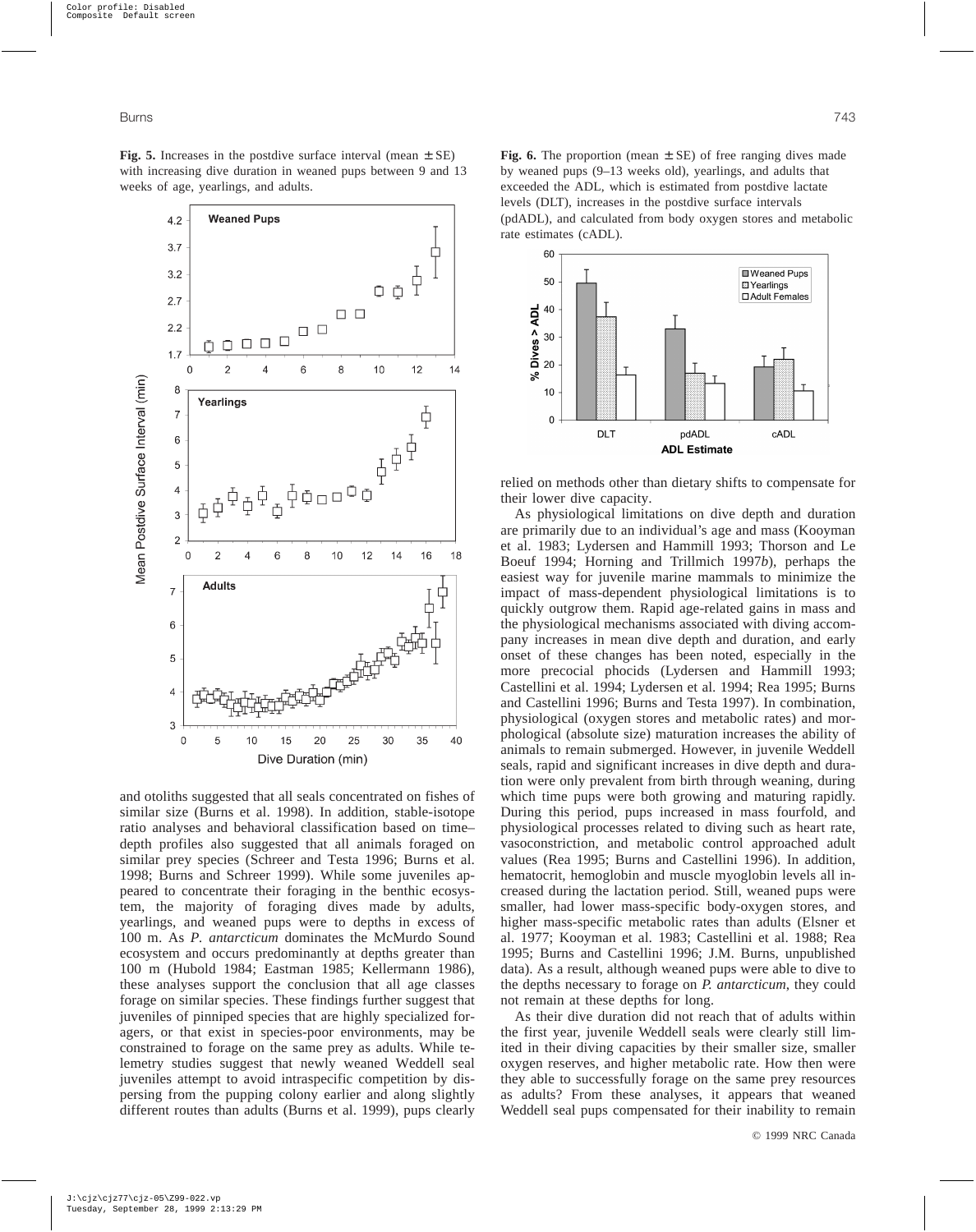$4.2$  $3.7$ 

 $3.2$ 

 $2.7$ 

 $2.2$ 

 $1.7$  $\mathbf 0$ 

8

 $\overline{7}$ 

6

5  $\overline{4}$ 3  $\overline{c}$ 

 $\overline{0}$ 

 $\overline{7}$ 

6

5

 $\overline{4}$ 

G  $\overline{0}$   $\overline{2}$ 

**Adults** 

5

 $10$ 

15

20

Dive Duration (min)

25

30

35

40

 $\overline{4}$ 

6

8

10

Mean Postdive Surface Interval (min)

่

╂

12

₿

16

 $14$ 

18

ŌŎ

10

 $\Box$   $\Box$ 

8

 $12$ 

14

 $\Box$   $\Box$ 

6

**Weaned Pups** 

 $\Phi$  o o o o

 $\overline{4}$ 

 $\mathcal{P}$ 

Yearlings

and otoliths suggested that all seals concentrated on fishes of similar size (Burns et al. 1998). In addition, stable-isotope ratio analyses and behavioral classification based on time– depth profiles also suggested that all animals foraged on similar prey species (Schreer and Testa 1996; Burns et al. 1998; Burns and Schreer 1999). While some juveniles appeared to concentrate their foraging in the benthic ecosystem, the majority of foraging dives made by adults, yearlings, and weaned pups were to depths in excess of 100 m. As *P. antarcticum* dominates the McMurdo Sound ecosystem and occurs predominantly at depths greater than 100 m (Hubold 1984; Eastman 1985; Kellermann 1986), these analyses support the conclusion that all age classes forage on similar species. These findings further suggest that juveniles of pinniped species that are highly specialized foragers, or that exist in species-poor environments, may be constrained to forage on the same prey as adults. While telemetry studies suggest that newly weaned Weddell seal juveniles attempt to avoid intraspecific competition by dispersing from the pupping colony earlier and along slightly different routes than adults (Burns et al. 1999), pups clearly

**Fig. 6.** The proportion (mean  $\pm$  SE) of free ranging dives made by weaned pups (9–13 weeks old), yearlings, and adults that exceeded the ADL, which is estimated from postdive lactate levels (DLT), increases in the postdive surface intervals (pdADL), and calculated from body oxygen stores and metabolic rate estimates (cADL).



relied on methods other than dietary shifts to compensate for their lower dive capacity.

As physiological limitations on dive depth and duration are primarily due to an individual's age and mass (Kooyman et al. 1983; Lydersen and Hammill 1993; Thorson and Le Boeuf 1994; Horning and Trillmich 1997*b*), perhaps the easiest way for juvenile marine mammals to minimize the impact of mass-dependent physiological limitations is to quickly outgrow them. Rapid age-related gains in mass and the physiological mechanisms associated with diving accompany increases in mean dive depth and duration, and early onset of these changes has been noted, especially in the more precocial phocids (Lydersen and Hammill 1993; Castellini et al. 1994; Lydersen et al. 1994; Rea 1995; Burns and Castellini 1996; Burns and Testa 1997). In combination, physiological (oxygen stores and metabolic rates) and morphological (absolute size) maturation increases the ability of animals to remain submerged. However, in juvenile Weddell seals, rapid and significant increases in dive depth and duration were only prevalent from birth through weaning, during which time pups were both growing and maturing rapidly. During this period, pups increased in mass fourfold, and physiological processes related to diving such as heart rate, vasoconstriction, and metabolic control approached adult values (Rea 1995; Burns and Castellini 1996). In addition, hematocrit, hemoglobin and muscle myoglobin levels all increased during the lactation period. Still, weaned pups were smaller, had lower mass-specific body-oxygen stores, and higher mass-specific metabolic rates than adults (Elsner et al. 1977; Kooyman et al. 1983; Castellini et al. 1988; Rea 1995; Burns and Castellini 1996; J.M. Burns, unpublished data). As a result, although weaned pups were able to dive to the depths necessary to forage on *P. antarcticum*, they could not remain at these depths for long.

As their dive duration did not reach that of adults within the first year, juvenile Weddell seals were clearly still limited in their diving capacities by their smaller size, smaller oxygen reserves, and higher metabolic rate. How then were they able to successfully forage on the same prey resources as adults? From these analyses, it appears that weaned Weddell seal pups compensated for their inability to remain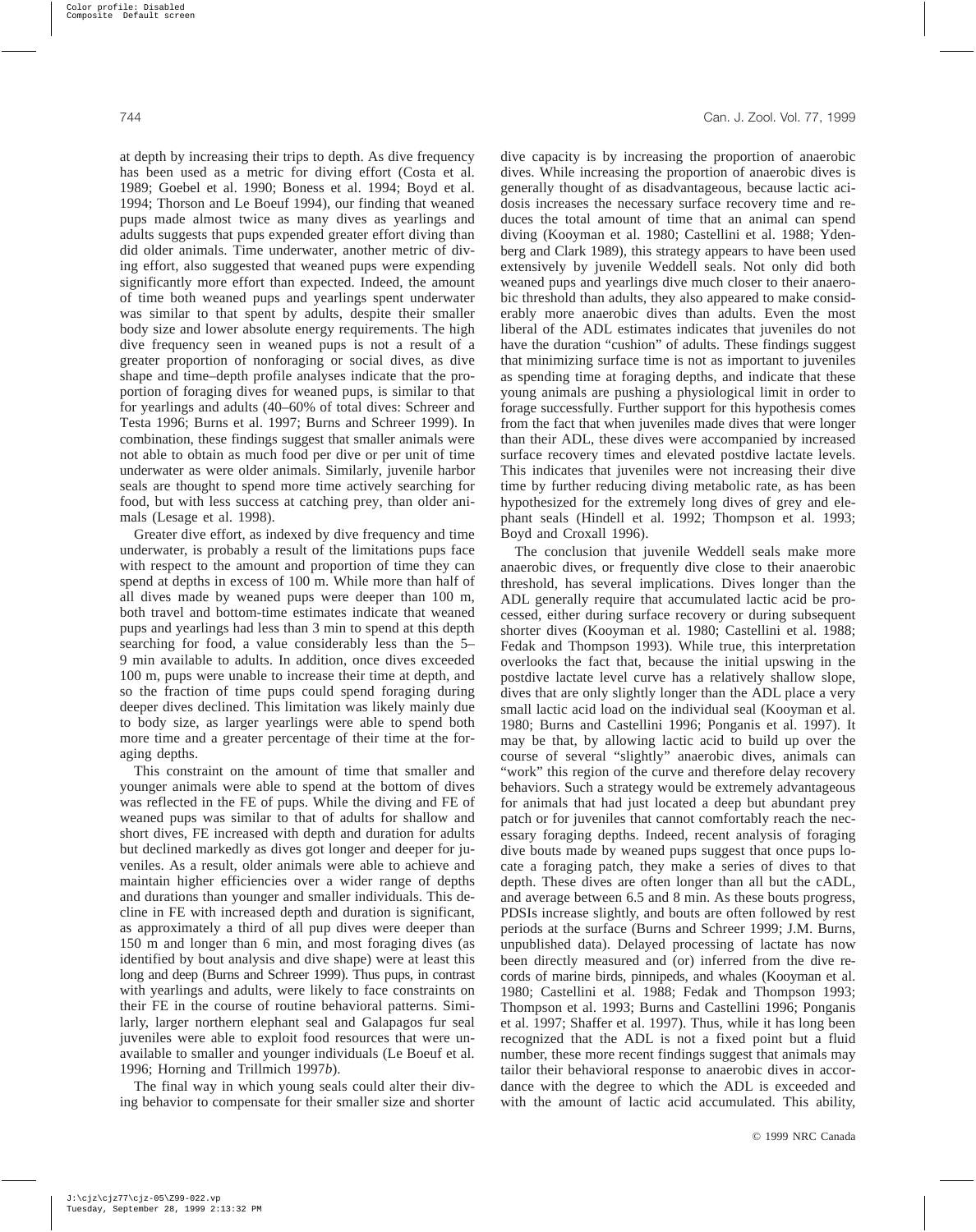at depth by increasing their trips to depth. As dive frequency has been used as a metric for diving effort (Costa et al. 1989; Goebel et al. 1990; Boness et al. 1994; Boyd et al. 1994; Thorson and Le Boeuf 1994), our finding that weaned pups made almost twice as many dives as yearlings and adults suggests that pups expended greater effort diving than did older animals. Time underwater, another metric of diving effort, also suggested that weaned pups were expending significantly more effort than expected. Indeed, the amount of time both weaned pups and yearlings spent underwater was similar to that spent by adults, despite their smaller body size and lower absolute energy requirements. The high dive frequency seen in weaned pups is not a result of a greater proportion of nonforaging or social dives, as dive shape and time–depth profile analyses indicate that the proportion of foraging dives for weaned pups, is similar to that for yearlings and adults (40–60% of total dives: Schreer and Testa 1996; Burns et al. 1997; Burns and Schreer 1999). In combination, these findings suggest that smaller animals were not able to obtain as much food per dive or per unit of time underwater as were older animals. Similarly, juvenile harbor seals are thought to spend more time actively searching for food, but with less success at catching prey, than older animals (Lesage et al. 1998).

Greater dive effort, as indexed by dive frequency and time underwater, is probably a result of the limitations pups face with respect to the amount and proportion of time they can spend at depths in excess of 100 m. While more than half of all dives made by weaned pups were deeper than 100 m, both travel and bottom-time estimates indicate that weaned pups and yearlings had less than 3 min to spend at this depth searching for food, a value considerably less than the 5– 9 min available to adults. In addition, once dives exceeded 100 m, pups were unable to increase their time at depth, and so the fraction of time pups could spend foraging during deeper dives declined. This limitation was likely mainly due to body size, as larger yearlings were able to spend both more time and a greater percentage of their time at the foraging depths.

This constraint on the amount of time that smaller and younger animals were able to spend at the bottom of dives was reflected in the FE of pups. While the diving and FE of weaned pups was similar to that of adults for shallow and short dives, FE increased with depth and duration for adults but declined markedly as dives got longer and deeper for juveniles. As a result, older animals were able to achieve and maintain higher efficiencies over a wider range of depths and durations than younger and smaller individuals. This decline in FE with increased depth and duration is significant, as approximately a third of all pup dives were deeper than 150 m and longer than 6 min, and most foraging dives (as identified by bout analysis and dive shape) were at least this long and deep (Burns and Schreer 1999). Thus pups, in contrast with yearlings and adults, were likely to face constraints on their FE in the course of routine behavioral patterns. Similarly, larger northern elephant seal and Galapagos fur seal juveniles were able to exploit food resources that were unavailable to smaller and younger individuals (Le Boeuf et al. 1996; Horning and Trillmich 1997*b*).

The final way in which young seals could alter their diving behavior to compensate for their smaller size and shorter dive capacity is by increasing the proportion of anaerobic dives. While increasing the proportion of anaerobic dives is generally thought of as disadvantageous, because lactic acidosis increases the necessary surface recovery time and reduces the total amount of time that an animal can spend diving (Kooyman et al. 1980; Castellini et al. 1988; Ydenberg and Clark 1989), this strategy appears to have been used extensively by juvenile Weddell seals. Not only did both weaned pups and yearlings dive much closer to their anaerobic threshold than adults, they also appeared to make considerably more anaerobic dives than adults. Even the most liberal of the ADL estimates indicates that juveniles do not have the duration "cushion" of adults. These findings suggest that minimizing surface time is not as important to juveniles as spending time at foraging depths, and indicate that these young animals are pushing a physiological limit in order to forage successfully. Further support for this hypothesis comes from the fact that when juveniles made dives that were longer than their ADL, these dives were accompanied by increased surface recovery times and elevated postdive lactate levels. This indicates that juveniles were not increasing their dive time by further reducing diving metabolic rate, as has been hypothesized for the extremely long dives of grey and elephant seals (Hindell et al. 1992; Thompson et al. 1993; Boyd and Croxall 1996).

The conclusion that juvenile Weddell seals make more anaerobic dives, or frequently dive close to their anaerobic threshold, has several implications. Dives longer than the ADL generally require that accumulated lactic acid be processed, either during surface recovery or during subsequent shorter dives (Kooyman et al. 1980; Castellini et al. 1988; Fedak and Thompson 1993). While true, this interpretation overlooks the fact that, because the initial upswing in the postdive lactate level curve has a relatively shallow slope, dives that are only slightly longer than the ADL place a very small lactic acid load on the individual seal (Kooyman et al. 1980; Burns and Castellini 1996; Ponganis et al. 1997). It may be that, by allowing lactic acid to build up over the course of several "slightly" anaerobic dives, animals can "work" this region of the curve and therefore delay recovery behaviors. Such a strategy would be extremely advantageous for animals that had just located a deep but abundant prey patch or for juveniles that cannot comfortably reach the necessary foraging depths. Indeed, recent analysis of foraging dive bouts made by weaned pups suggest that once pups locate a foraging patch, they make a series of dives to that depth. These dives are often longer than all but the cADL, and average between 6.5 and 8 min. As these bouts progress, PDSIs increase slightly, and bouts are often followed by rest periods at the surface (Burns and Schreer 1999; J.M. Burns, unpublished data). Delayed processing of lactate has now been directly measured and (or) inferred from the dive records of marine birds, pinnipeds, and whales (Kooyman et al. 1980; Castellini et al. 1988; Fedak and Thompson 1993; Thompson et al. 1993; Burns and Castellini 1996; Ponganis et al. 1997; Shaffer et al. 1997). Thus, while it has long been recognized that the ADL is not a fixed point but a fluid number, these more recent findings suggest that animals may tailor their behavioral response to anaerobic dives in accordance with the degree to which the ADL is exceeded and with the amount of lactic acid accumulated. This ability,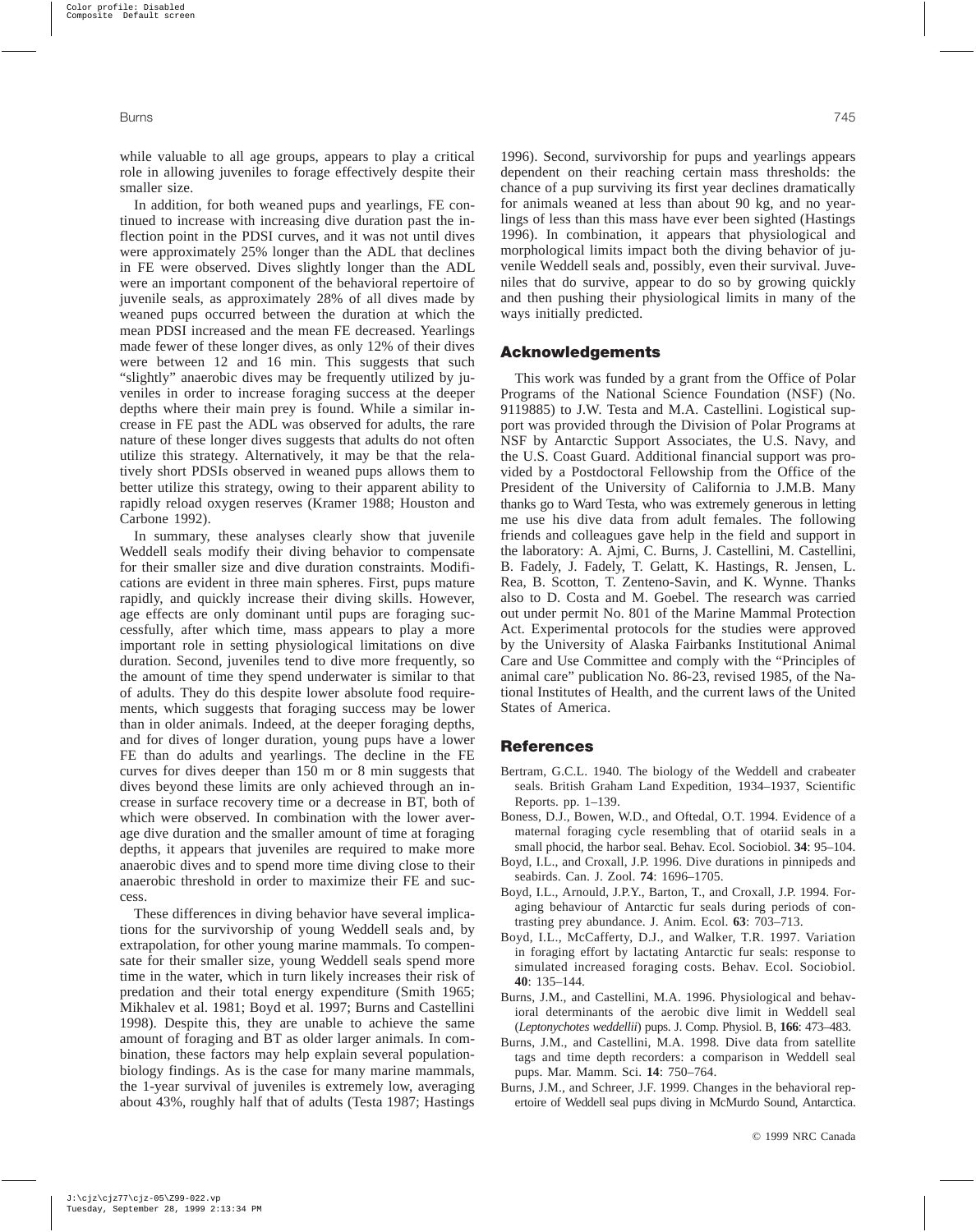while valuable to all age groups, appears to play a critical role in allowing juveniles to forage effectively despite their smaller size.

In addition, for both weaned pups and yearlings, FE continued to increase with increasing dive duration past the inflection point in the PDSI curves, and it was not until dives were approximately 25% longer than the ADL that declines in FE were observed. Dives slightly longer than the ADL were an important component of the behavioral repertoire of juvenile seals, as approximately 28% of all dives made by weaned pups occurred between the duration at which the mean PDSI increased and the mean FE decreased. Yearlings made fewer of these longer dives, as only 12% of their dives were between 12 and 16 min. This suggests that such "slightly" anaerobic dives may be frequently utilized by juveniles in order to increase foraging success at the deeper depths where their main prey is found. While a similar increase in FE past the ADL was observed for adults, the rare nature of these longer dives suggests that adults do not often utilize this strategy. Alternatively, it may be that the relatively short PDSIs observed in weaned pups allows them to better utilize this strategy, owing to their apparent ability to rapidly reload oxygen reserves (Kramer 1988; Houston and Carbone 1992).

In summary, these analyses clearly show that juvenile Weddell seals modify their diving behavior to compensate for their smaller size and dive duration constraints. Modifications are evident in three main spheres. First, pups mature rapidly, and quickly increase their diving skills. However, age effects are only dominant until pups are foraging successfully, after which time, mass appears to play a more important role in setting physiological limitations on dive duration. Second, juveniles tend to dive more frequently, so the amount of time they spend underwater is similar to that of adults. They do this despite lower absolute food requirements, which suggests that foraging success may be lower than in older animals. Indeed, at the deeper foraging depths, and for dives of longer duration, young pups have a lower FE than do adults and yearlings. The decline in the FE curves for dives deeper than 150 m or 8 min suggests that dives beyond these limits are only achieved through an increase in surface recovery time or a decrease in BT, both of which were observed. In combination with the lower average dive duration and the smaller amount of time at foraging depths, it appears that juveniles are required to make more anaerobic dives and to spend more time diving close to their anaerobic threshold in order to maximize their FE and success.

These differences in diving behavior have several implications for the survivorship of young Weddell seals and, by extrapolation, for other young marine mammals. To compensate for their smaller size, young Weddell seals spend more time in the water, which in turn likely increases their risk of predation and their total energy expenditure (Smith 1965; Mikhalev et al. 1981; Boyd et al. 1997; Burns and Castellini 1998). Despite this, they are unable to achieve the same amount of foraging and BT as older larger animals. In combination, these factors may help explain several populationbiology findings. As is the case for many marine mammals, the 1-year survival of juveniles is extremely low, averaging about 43%, roughly half that of adults (Testa 1987; Hastings 1996). Second, survivorship for pups and yearlings appears dependent on their reaching certain mass thresholds: the chance of a pup surviving its first year declines dramatically for animals weaned at less than about 90 kg, and no yearlings of less than this mass have ever been sighted (Hastings 1996). In combination, it appears that physiological and morphological limits impact both the diving behavior of juvenile Weddell seals and, possibly, even their survival. Juveniles that do survive, appear to do so by growing quickly and then pushing their physiological limits in many of the ways initially predicted.

## **Acknowledgements**

This work was funded by a grant from the Office of Polar Programs of the National Science Foundation (NSF) (No. 9119885) to J.W. Testa and M.A. Castellini. Logistical support was provided through the Division of Polar Programs at NSF by Antarctic Support Associates, the U.S. Navy, and the U.S. Coast Guard. Additional financial support was provided by a Postdoctoral Fellowship from the Office of the President of the University of California to J.M.B. Many thanks go to Ward Testa, who was extremely generous in letting me use his dive data from adult females. The following friends and colleagues gave help in the field and support in the laboratory: A. Ajmi, C. Burns, J. Castellini, M. Castellini, B. Fadely, J. Fadely, T. Gelatt, K. Hastings, R. Jensen, L. Rea, B. Scotton, T. Zenteno-Savin, and K. Wynne. Thanks also to D. Costa and M. Goebel. The research was carried out under permit No. 801 of the Marine Mammal Protection Act. Experimental protocols for the studies were approved by the University of Alaska Fairbanks Institutional Animal Care and Use Committee and comply with the "Principles of animal care" publication No. 86-23, revised 1985, of the National Institutes of Health, and the current laws of the United States of America.

## **References**

- Bertram, G.C.L. 1940. The biology of the Weddell and crabeater seals. British Graham Land Expedition, 1934–1937, Scientific Reports. pp. 1–139.
- Boness, D.J., Bowen, W.D., and Oftedal, O.T. 1994. Evidence of a maternal foraging cycle resembling that of otariid seals in a small phocid, the harbor seal. Behav. Ecol. Sociobiol. **34**: 95–104.
- Boyd, I.L., and Croxall, J.P. 1996. Dive durations in pinnipeds and seabirds. Can. J. Zool. **74**: 1696–1705.
- Boyd, I.L., Arnould, J.P.Y., Barton, T., and Croxall, J.P. 1994. Foraging behaviour of Antarctic fur seals during periods of contrasting prey abundance. J. Anim. Ecol. **63**: 703–713.
- Boyd, I.L., McCafferty, D.J., and Walker, T.R. 1997. Variation in foraging effort by lactating Antarctic fur seals: response to simulated increased foraging costs. Behav. Ecol. Sociobiol. **40**: 135–144.
- Burns, J.M., and Castellini, M.A. 1996. Physiological and behavioral determinants of the aerobic dive limit in Weddell seal (*Leptonychotes weddellii*) pups. J. Comp. Physiol. B, **166**: 473–483.
- Burns, J.M., and Castellini, M.A. 1998. Dive data from satellite tags and time depth recorders: a comparison in Weddell seal pups. Mar. Mamm. Sci. **14**: 750–764.
- Burns, J.M., and Schreer, J.F. 1999. Changes in the behavioral repertoire of Weddell seal pups diving in McMurdo Sound, Antarctica.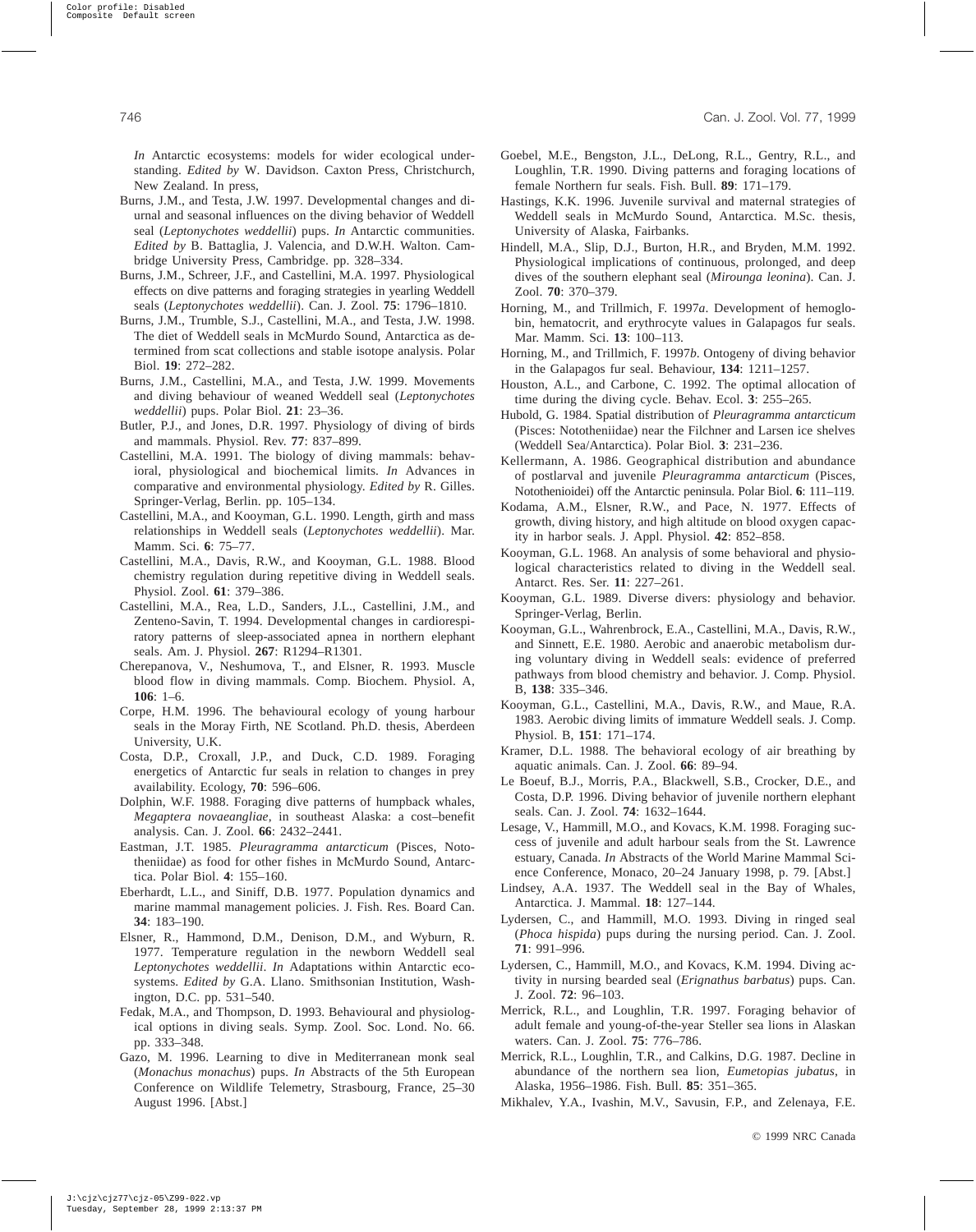*In* Antarctic ecosystems: models for wider ecological understanding. *Edited by* W. Davidson. Caxton Press, Christchurch, New Zealand. In press,

- Burns, J.M., and Testa, J.W. 1997. Developmental changes and diurnal and seasonal influences on the diving behavior of Weddell seal (*Leptonychotes weddellii*) pups. *In* Antarctic communities. *Edited by* B. Battaglia, J. Valencia, and D.W.H. Walton. Cambridge University Press, Cambridge. pp. 328–334.
- Burns, J.M., Schreer, J.F., and Castellini, M.A. 1997. Physiological effects on dive patterns and foraging strategies in yearling Weddell seals (*Leptonychotes weddellii*). Can. J. Zool. **75**: 1796–1810.
- Burns, J.M., Trumble, S.J., Castellini, M.A., and Testa, J.W. 1998. The diet of Weddell seals in McMurdo Sound, Antarctica as determined from scat collections and stable isotope analysis. Polar Biol. **19**: 272–282.
- Burns, J.M., Castellini, M.A., and Testa, J.W. 1999. Movements and diving behaviour of weaned Weddell seal (*Leptonychotes weddellii*) pups. Polar Biol. **21**: 23–36.
- Butler, P.J., and Jones, D.R. 1997. Physiology of diving of birds and mammals. Physiol. Rev. **77**: 837–899.
- Castellini, M.A. 1991. The biology of diving mammals: behavioral, physiological and biochemical limits. *In* Advances in comparative and environmental physiology. *Edited by* R. Gilles. Springer-Verlag, Berlin. pp. 105–134.
- Castellini, M.A., and Kooyman, G.L. 1990. Length, girth and mass relationships in Weddell seals (*Leptonychotes weddellii*). Mar. Mamm. Sci. **6**: 75–77.
- Castellini, M.A., Davis, R.W., and Kooyman, G.L. 1988. Blood chemistry regulation during repetitive diving in Weddell seals. Physiol. Zool. **61**: 379–386.
- Castellini, M.A., Rea, L.D., Sanders, J.L., Castellini, J.M., and Zenteno-Savin, T. 1994. Developmental changes in cardiorespiratory patterns of sleep-associated apnea in northern elephant seals. Am. J. Physiol. **267**: R1294–R1301.
- Cherepanova, V., Neshumova, T., and Elsner, R. 1993. Muscle blood flow in diving mammals. Comp. Biochem. Physiol. A, **106**: 1–6.
- Corpe, H.M. 1996. The behavioural ecology of young harbour seals in the Moray Firth, NE Scotland. Ph.D. thesis, Aberdeen University, U.K.
- Costa, D.P., Croxall, J.P., and Duck, C.D. 1989. Foraging energetics of Antarctic fur seals in relation to changes in prey availability. Ecology, **70**: 596–606.
- Dolphin, W.F. 1988. Foraging dive patterns of humpback whales, *Megaptera novaeangliae*, in southeast Alaska: a cost–benefit analysis. Can. J. Zool. **66**: 2432–2441.
- Eastman, J.T. 1985. *Pleuragramma antarcticum* (Pisces, Nototheniidae) as food for other fishes in McMurdo Sound, Antarctica. Polar Biol. **4**: 155–160.
- Eberhardt, L.L., and Siniff, D.B. 1977. Population dynamics and marine mammal management policies. J. Fish. Res. Board Can. **34**: 183–190.
- Elsner, R., Hammond, D.M., Denison, D.M., and Wyburn, R. 1977. Temperature regulation in the newborn Weddell seal *Leptonychotes weddellii*. *In* Adaptations within Antarctic ecosystems. *Edited by* G.A. Llano. Smithsonian Institution, Washington, D.C. pp. 531–540.
- Fedak, M.A., and Thompson, D. 1993. Behavioural and physiological options in diving seals. Symp. Zool. Soc. Lond. No. 66. pp. 333–348.
- Gazo, M. 1996. Learning to dive in Mediterranean monk seal (*Monachus monachus*) pups. *In* Abstracts of the 5th European Conference on Wildlife Telemetry, Strasbourg, France, 25–30 August 1996. [Abst.]
- Goebel, M.E., Bengston, J.L., DeLong, R.L., Gentry, R.L., and Loughlin, T.R. 1990. Diving patterns and foraging locations of female Northern fur seals. Fish. Bull. **89**: 171–179.
- Hastings, K.K. 1996. Juvenile survival and maternal strategies of Weddell seals in McMurdo Sound, Antarctica. M.Sc. thesis, University of Alaska, Fairbanks.
- Hindell, M.A., Slip, D.J., Burton, H.R., and Bryden, M.M. 1992. Physiological implications of continuous, prolonged, and deep dives of the southern elephant seal (*Mirounga leonina*). Can. J. Zool. **70**: 370–379.
- Horning, M., and Trillmich, F. 1997*a*. Development of hemoglobin, hematocrit, and erythrocyte values in Galapagos fur seals. Mar. Mamm. Sci. **13**: 100–113.
- Horning, M., and Trillmich, F. 1997*b*. Ontogeny of diving behavior in the Galapagos fur seal. Behaviour, **134**: 1211–1257.
- Houston, A.L., and Carbone, C. 1992. The optimal allocation of time during the diving cycle. Behav. Ecol. **3**: 255–265.
- Hubold, G. 1984. Spatial distribution of *Pleuragramma antarcticum* (Pisces: Nototheniidae) near the Filchner and Larsen ice shelves (Weddell Sea/Antarctica). Polar Biol. **3**: 231–236.
- Kellermann, A. 1986. Geographical distribution and abundance of postlarval and juvenile *Pleuragramma antarcticum* (Pisces, Notothenioidei) off the Antarctic peninsula. Polar Biol. **6**: 111–119.
- Kodama, A.M., Elsner, R.W., and Pace, N. 1977. Effects of growth, diving history, and high altitude on blood oxygen capacity in harbor seals. J. Appl. Physiol. **42**: 852–858.
- Kooyman, G.L. 1968. An analysis of some behavioral and physiological characteristics related to diving in the Weddell seal. Antarct. Res. Ser. **11**: 227–261.
- Kooyman, G.L. 1989. Diverse divers: physiology and behavior. Springer-Verlag, Berlin.
- Kooyman, G.L., Wahrenbrock, E.A., Castellini, M.A., Davis, R.W., and Sinnett, E.E. 1980. Aerobic and anaerobic metabolism during voluntary diving in Weddell seals: evidence of preferred pathways from blood chemistry and behavior. J. Comp. Physiol. B, **138**: 335–346.
- Kooyman, G.L., Castellini, M.A., Davis, R.W., and Maue, R.A. 1983. Aerobic diving limits of immature Weddell seals. J. Comp. Physiol. B, **151**: 171–174.
- Kramer, D.L. 1988. The behavioral ecology of air breathing by aquatic animals. Can. J. Zool. **66**: 89–94.
- Le Boeuf, B.J., Morris, P.A., Blackwell, S.B., Crocker, D.E., and Costa, D.P. 1996. Diving behavior of juvenile northern elephant seals. Can. J. Zool. **74**: 1632–1644.
- Lesage, V., Hammill, M.O., and Kovacs, K.M. 1998. Foraging success of juvenile and adult harbour seals from the St. Lawrence estuary, Canada. *In* Abstracts of the World Marine Mammal Science Conference, Monaco, 20–24 January 1998, p. 79. [Abst.]
- Lindsey, A.A. 1937. The Weddell seal in the Bay of Whales, Antarctica. J. Mammal. **18**: 127–144.
- Lydersen, C., and Hammill, M.O. 1993. Diving in ringed seal (*Phoca hispida*) pups during the nursing period. Can. J. Zool. **71**: 991–996.
- Lydersen, C., Hammill, M.O., and Kovacs, K.M. 1994. Diving activity in nursing bearded seal (*Erignathus barbatus*) pups. Can. J. Zool. **72**: 96–103.
- Merrick, R.L., and Loughlin, T.R. 1997. Foraging behavior of adult female and young-of-the-year Steller sea lions in Alaskan waters. Can. J. Zool. **75**: 776–786.
- Merrick, R.L., Loughlin, T.R., and Calkins, D.G. 1987. Decline in abundance of the northern sea lion, *Eumetopias jubatus*, in Alaska, 1956–1986. Fish. Bull. **85**: 351–365.
- Mikhalev, Y.A., Ivashin, M.V., Savusin, F.P., and Zelenaya, F.E.